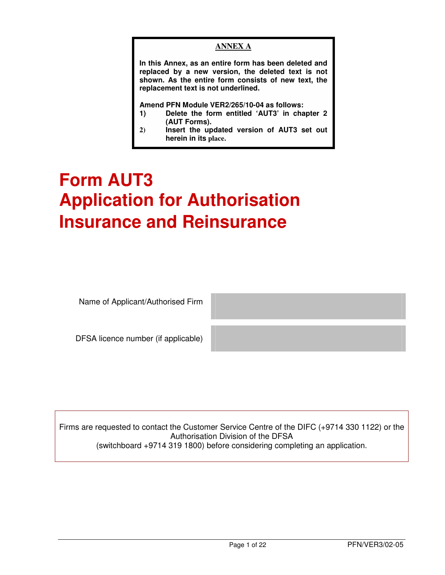## **ANNEX A**

**In this Annex, as an entire form has been deleted and replaced by a new version, the deleted text is not shown. As the entire form consists of new text, the replacement text is not underlined.** 

**Amend PFN Module VER2/265/10-04 as follows:** 

- **1) Delete the form entitled 'AUT3' in chapter 2 (AUT Forms).**
- **2) Insert the updated version of AUT3 set out herein in its place.**

# **Form AUT3 Application for Authorisation Insurance and Reinsurance**

Name of Applicant/Authorised Firm

DFSA licence number (if applicable)

Firms are requested to contact the Customer Service Centre of the DIFC (+9714 330 1122) or the Authorisation Division of the DFSA (switchboard +9714 319 1800) before considering completing an application.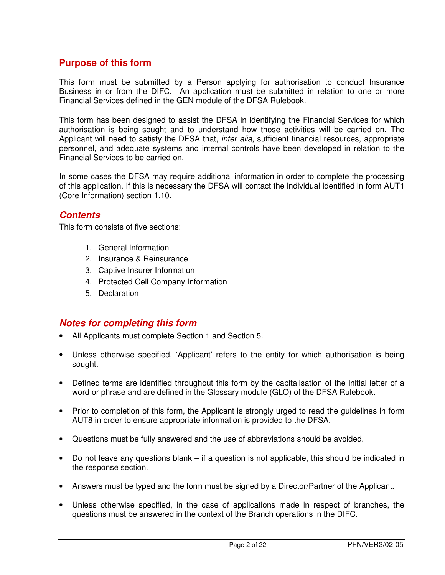# **Purpose of this form**

This form must be submitted by a Person applying for authorisation to conduct Insurance Business in or from the DIFC. An application must be submitted in relation to one or more Financial Services defined in the GEN module of the DFSA Rulebook.

This form has been designed to assist the DFSA in identifying the Financial Services for which authorisation is being sought and to understand how those activities will be carried on. The Applicant will need to satisfy the DFSA that, *inter alia*, sufficient financial resources, appropriate personnel, and adequate systems and internal controls have been developed in relation to the Financial Services to be carried on.

In some cases the DFSA may require additional information in order to complete the processing of this application. If this is necessary the DFSA will contact the individual identified in form AUT1 (Core Information) section 1.10.

## **Contents**

This form consists of five sections:

- 1. General Information
- 2. Insurance & Reinsurance
- 3. Captive Insurer Information
- 4. Protected Cell Company Information
- 5. Declaration

# **Notes for completing this form**

- All Applicants must complete Section 1 and Section 5.
- Unless otherwise specified, 'Applicant' refers to the entity for which authorisation is being sought.
- Defined terms are identified throughout this form by the capitalisation of the initial letter of a word or phrase and are defined in the Glossary module (GLO) of the DFSA Rulebook.
- Prior to completion of this form, the Applicant is strongly urged to read the guidelines in form AUT8 in order to ensure appropriate information is provided to the DFSA.
- Questions must be fully answered and the use of abbreviations should be avoided.
- Do not leave any questions blank if a question is not applicable, this should be indicated in the response section.
- Answers must be typed and the form must be signed by a Director/Partner of the Applicant.
- Unless otherwise specified, in the case of applications made in respect of branches, the questions must be answered in the context of the Branch operations in the DIFC.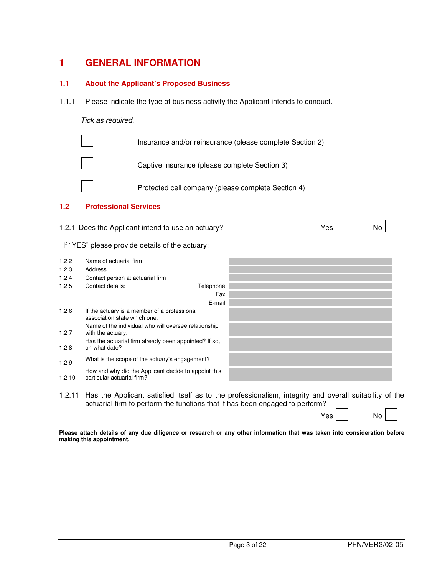## **1 GENERAL INFORMATION**

#### **1.1 About the Applicant's Proposed Business**

1.1.1 Please indicate the type of business activity the Applicant intends to conduct.

#### Tick as required.



#### **1.2 Professional Services**

1.2.1 Does the Applicant intend to use an actuary? No No Yes No No

#### If "YES" please provide details of the actuary:

| 1.2.2  | Name of actuarial firm                                                             |  |
|--------|------------------------------------------------------------------------------------|--|
| 1.2.3  | Address                                                                            |  |
| 1.2.4  | Contact person at actuarial firm                                                   |  |
| 1.2.5  | Contact details:<br>Telephone                                                      |  |
|        | Fax                                                                                |  |
|        | E-mail                                                                             |  |
| 1.2.6  | If the actuary is a member of a professional<br>association state which one.       |  |
| 1.2.7  | Name of the individual who will oversee relationship<br>with the actuary.          |  |
| 1.2.8  | Has the actuarial firm already been appointed? If so,<br>on what date?             |  |
| 1.2.9  | What is the scope of the actuary's engagement?                                     |  |
| 1.2.10 | How and why did the Applicant decide to appoint this<br>particular actuarial firm? |  |

1.2.11 Has the Applicant satisfied itself as to the professionalism, integrity and overall suitability of the actuarial firm to perform the functions that it has been engaged to perform?

Yes No

**Please attach details of any due diligence or research or any other information that was taken into consideration before making this appointment.**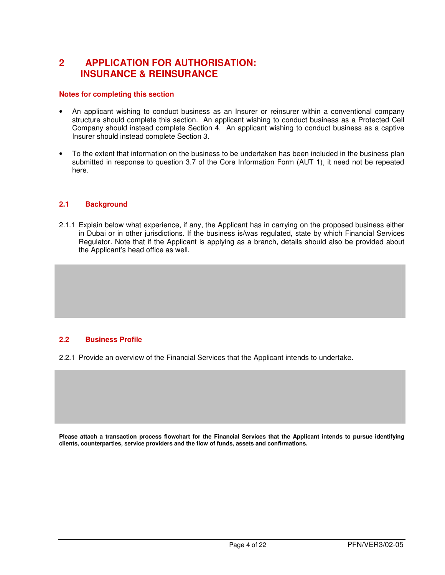# **2 APPLICATION FOR AUTHORISATION: INSURANCE & REINSURANCE**

#### **Notes for completing this section**

- An applicant wishing to conduct business as an Insurer or reinsurer within a conventional company structure should complete this section. An applicant wishing to conduct business as a Protected Cell Company should instead complete Section 4. An applicant wishing to conduct business as a captive Insurer should instead complete Section 3.
- To the extent that information on the business to be undertaken has been included in the business plan submitted in response to question 3.7 of the Core Information Form (AUT 1), it need not be repeated here.

#### **2.1 Background**

2.1.1 Explain below what experience, if any, the Applicant has in carrying on the proposed business either in Dubai or in other jurisdictions. If the business is/was regulated, state by which Financial Services Regulator. Note that if the Applicant is applying as a branch, details should also be provided about the Applicant's head office as well.

#### **2.2 Business Profile**

2.2.1 Provide an overview of the Financial Services that the Applicant intends to undertake.

**Please attach a transaction process flowchart for the Financial Services that the Applicant intends to pursue identifying clients, counterparties, service providers and the flow of funds, assets and confirmations.**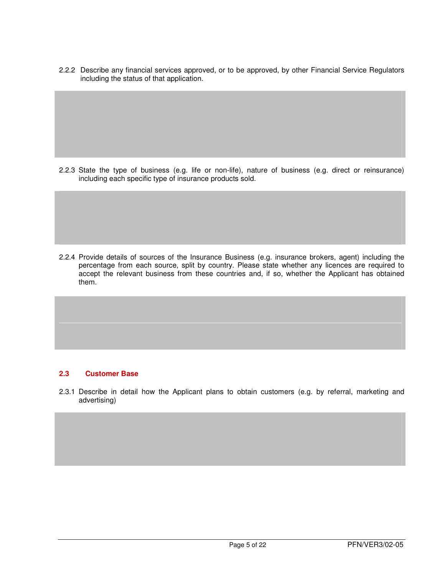2.2.2 Describe any financial services approved, or to be approved, by other Financial Service Regulators including the status of that application.

2.2.3 State the type of business (e.g. life or non-life), nature of business (e.g. direct or reinsurance) including each specific type of insurance products sold.

2.2.4 Provide details of sources of the Insurance Business (e.g. insurance brokers, agent) including the percentage from each source, split by country. Please state whether any licences are required to accept the relevant business from these countries and, if so, whether the Applicant has obtained them.

#### **2.3 Customer Base**

2.3.1 Describe in detail how the Applicant plans to obtain customers (e.g. by referral, marketing and advertising)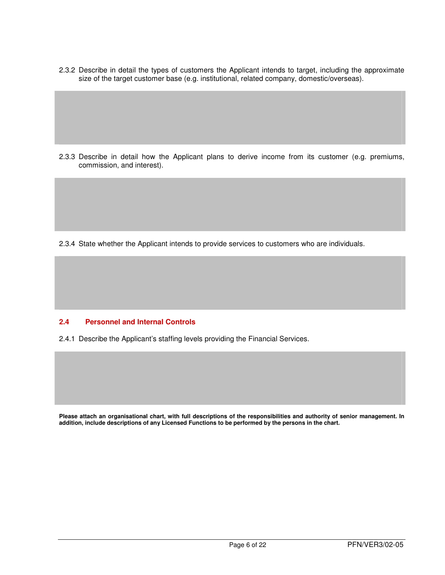2.3.2 Describe in detail the types of customers the Applicant intends to target, including the approximate size of the target customer base (e.g. institutional, related company, domestic/overseas).

2.3.3 Describe in detail how the Applicant plans to derive income from its customer (e.g. premiums, commission, and interest).

2.3.4 State whether the Applicant intends to provide services to customers who are individuals.

#### **2.4 Personnel and Internal Controls**

2.4.1 Describe the Applicant's staffing levels providing the Financial Services.

**Please attach an organisational chart, with full descriptions of the responsibilities and authority of senior management. In addition, include descriptions of any Licensed Functions to be performed by the persons in the chart.**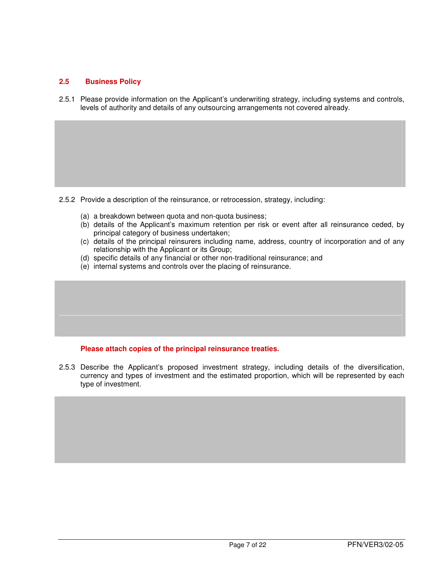## **2.5 Business Policy**

2.5.1 Please provide information on the Applicant's underwriting strategy, including systems and controls, levels of authority and details of any outsourcing arrangements not covered already.

2.5.2 Provide a description of the reinsurance, or retrocession, strategy, including:

- (a) a breakdown between quota and non-quota business;
- (b) details of the Applicant's maximum retention per risk or event after all reinsurance ceded, by principal category of business undertaken;
- (c) details of the principal reinsurers including name, address, country of incorporation and of any relationship with the Applicant or its Group;
- (d) specific details of any financial or other non-traditional reinsurance; and
- (e) internal systems and controls over the placing of reinsurance.

#### **Please attach copies of the principal reinsurance treaties.**

2.5.3 Describe the Applicant's proposed investment strategy, including details of the diversification, currency and types of investment and the estimated proportion, which will be represented by each type of investment.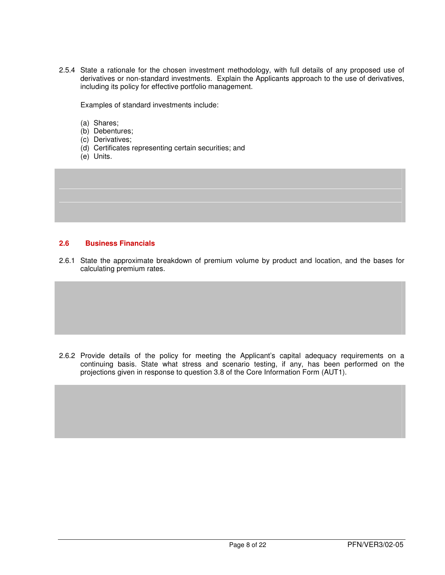2.5.4 State a rationale for the chosen investment methodology, with full details of any proposed use of derivatives or non-standard investments. Explain the Applicants approach to the use of derivatives, including its policy for effective portfolio management.

Examples of standard investments include:

- (a) Shares;
- (b) Debentures;
- (c) Derivatives;
- (d) Certificates representing certain securities; and
- (e) Units.

#### **2.6 Business Financials**

2.6.1 State the approximate breakdown of premium volume by product and location, and the bases for calculating premium rates.

2.6.2 Provide details of the policy for meeting the Applicant's capital adequacy requirements on a continuing basis. State what stress and scenario testing, if any, has been performed on the projections given in response to question 3.8 of the Core Information Form (AUT1).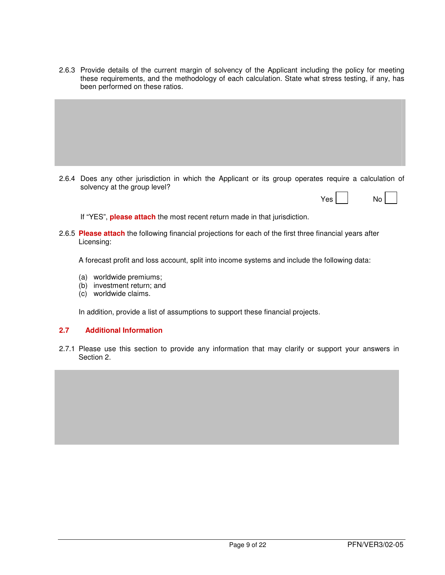2.6.3 Provide details of the current margin of solvency of the Applicant including the policy for meeting these requirements, and the methodology of each calculation. State what stress testing, if any, has been performed on these ratios.

2.6.4 Does any other jurisdiction in which the Applicant or its group operates require a calculation of solvency at the group level?

| Yes | No |  |  |
|-----|----|--|--|
|-----|----|--|--|

If "YES", **please attach** the most recent return made in that jurisdiction.

2.6.5 **Please attach** the following financial projections for each of the first three financial years after Licensing:

A forecast profit and loss account, split into income systems and include the following data:

- (a) worldwide premiums;
- (b) investment return; and
- (c) worldwide claims.

In addition, provide a list of assumptions to support these financial projects.

#### **2.7 Additional Information**

2.7.1 Please use this section to provide any information that may clarify or support your answers in Section 2.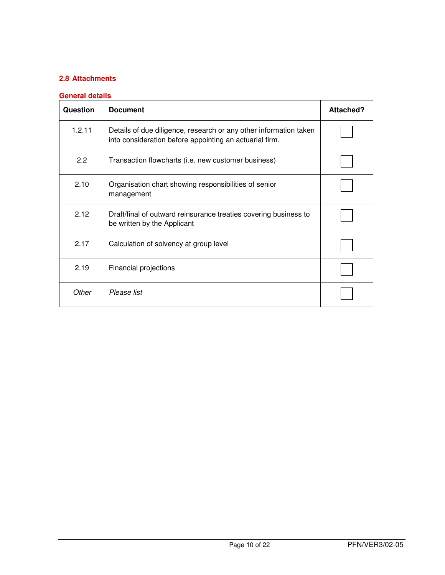## **2.8 Attachments**

#### **General details**

| Question      | <b>Document</b>                                                                                                              | <b>Attached?</b> |
|---------------|------------------------------------------------------------------------------------------------------------------------------|------------------|
| 1.2.11        | Details of due diligence, research or any other information taken<br>into consideration before appointing an actuarial firm. |                  |
| $2.2^{\circ}$ | Transaction flowcharts (i.e. new customer business)                                                                          |                  |
| 2.10          | Organisation chart showing responsibilities of senior<br>management                                                          |                  |
| 2.12          | Draft/final of outward reinsurance treaties covering business to<br>be written by the Applicant                              |                  |
| 2.17          | Calculation of solvency at group level                                                                                       |                  |
| 2.19          | Financial projections                                                                                                        |                  |
| Other         | Please list                                                                                                                  |                  |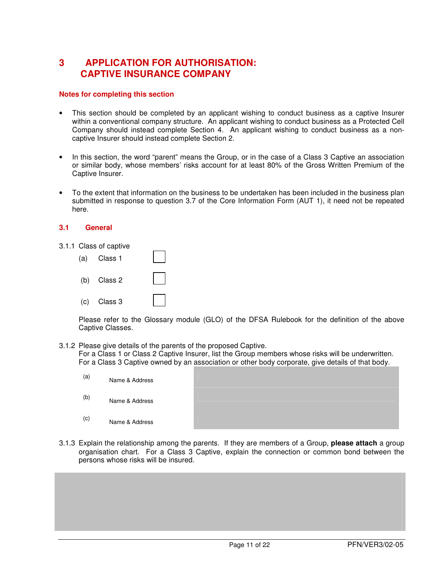# **3 APPLICATION FOR AUTHORISATION: CAPTIVE INSURANCE COMPANY**

#### **Notes for completing this section**

- This section should be completed by an applicant wishing to conduct business as a captive Insurer within a conventional company structure. An applicant wishing to conduct business as a Protected Cell Company should instead complete Section 4. An applicant wishing to conduct business as a noncaptive Insurer should instead complete Section 2.
- In this section, the word "parent" means the Group, or in the case of a Class 3 Captive an association or similar body, whose members' risks account for at least 80% of the Gross Written Premium of the Captive Insurer.
- To the extent that information on the business to be undertaken has been included in the business plan submitted in response to question 3.7 of the Core Information Form (AUT 1), it need not be repeated here.

#### **3.1 General**

3.1.1 Class of captive

| (a) Class 1   |  |
|---------------|--|
| $(b)$ Class 2 |  |
| $(c)$ Class 3 |  |

Please refer to the Glossary module (GLO) of the DFSA Rulebook for the definition of the above Captive Classes.

3.1.2 Please give details of the parents of the proposed Captive.

For a Class 1 or Class 2 Captive Insurer, list the Group members whose risks will be underwritten. For a Class 3 Captive owned by an association or other body corporate, give details of that body.

| (a) | Name & Address |  |
|-----|----------------|--|
| (b) | Name & Address |  |
| (c) | Name & Address |  |

3.1.3 Explain the relationship among the parents. If they are members of a Group, **please attach** a group organisation chart. For a Class 3 Captive, explain the connection or common bond between the persons whose risks will be insured.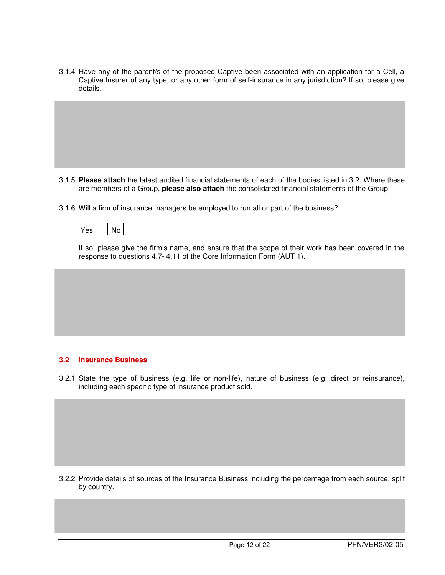3.1.4 Have any of the parent/s of the proposed Captive been associated with an application for a Cell, a Captive Insurer of any type, or any other form of self-insurance in any jurisdiction? If so, please give details.

- 3.1.5 **Please attach** the latest audited financial statements of each of the bodies listed in 3.2. Where these are members of a Group, **please also attach** the consolidated financial statements of the Group.
- 3.1.6 Will a firm of insurance managers be employed to run all or part of the business?

| ۵۵′ | N٥ |  |
|-----|----|--|
|-----|----|--|

If so, please give the firm's name, and ensure that the scope of their work has been covered in the response to questions 4.7- 4.11 of the Core Information Form (AUT 1).

#### **3.2 Insurance Business**

3.2.1 State the type of business (e.g. life or non-life), nature of business (e.g. direct or reinsurance), including each specific type of insurance product sold.

3.2.2 Provide details of sources of the Insurance Business including the percentage from each source, split by country.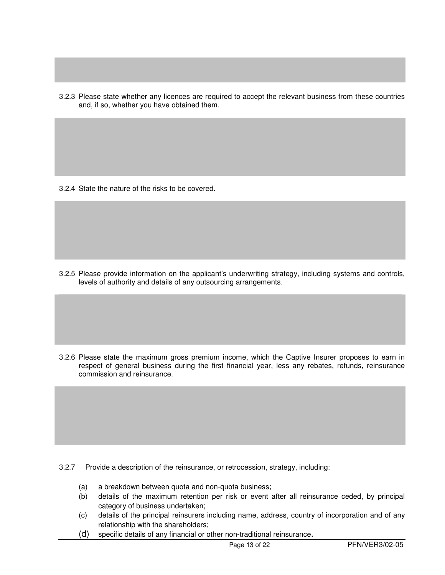3.2.3 Please state whether any licences are required to accept the relevant business from these countries and, if so, whether you have obtained them.

3.2.4 State the nature of the risks to be covered.

3.2.5 Please provide information on the applicant's underwriting strategy, including systems and controls, levels of authority and details of any outsourcing arrangements.

3.2.6 Please state the maximum gross premium income, which the Captive Insurer proposes to earn in respect of general business during the first financial year, less any rebates, refunds, reinsurance commission and reinsurance.

- 3.2.7 Provide a description of the reinsurance, or retrocession, strategy, including:
	- (a) a breakdown between quota and non-quota business;
	- (b) details of the maximum retention per risk or event after all reinsurance ceded, by principal category of business undertaken;
	- (c) details of the principal reinsurers including name, address, country of incorporation and of any relationship with the shareholders;
	- (d) specific details of any financial or other non-traditional reinsurance.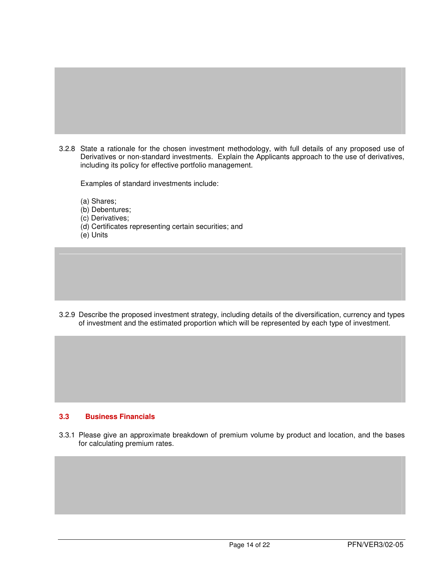3.2.8 State a rationale for the chosen investment methodology, with full details of any proposed use of Derivatives or non-standard investments. Explain the Applicants approach to the use of derivatives, including its policy for effective portfolio management.

Examples of standard investments include:

- (a) Shares;
- (b) Debentures;
- (c) Derivatives;
- (d) Certificates representing certain securities; and
- (e) Units

3.2.9 Describe the proposed investment strategy, including details of the diversification, currency and types of investment and the estimated proportion which will be represented by each type of investment.

#### **3.3 Business Financials**

3.3.1 Please give an approximate breakdown of premium volume by product and location, and the bases for calculating premium rates.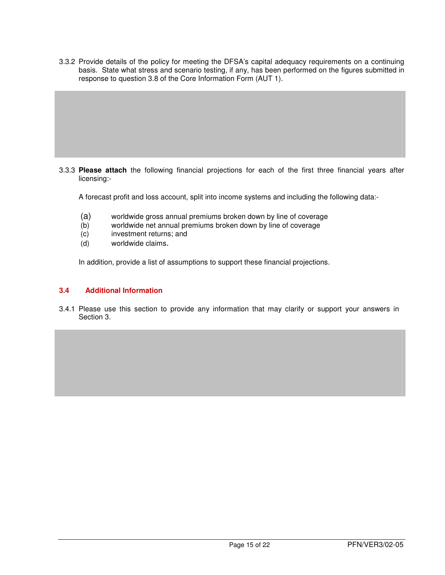3.3.2 Provide details of the policy for meeting the DFSA's capital adequacy requirements on a continuing basis. State what stress and scenario testing, if any, has been performed on the figures submitted in response to question 3.8 of the Core Information Form (AUT 1).

3.3.3 **Please attach** the following financial projections for each of the first three financial years after licensing:-

A forecast profit and loss account, split into income systems and including the following data:-

- (a) worldwide gross annual premiums broken down by line of coverage<br>(b) worldwide net annual premiums broken down by line of coverage
- worldwide net annual premiums broken down by line of coverage
- (c) investment returns; and
- (d) worldwide claims.

In addition, provide a list of assumptions to support these financial projections.

#### **3.4 Additional Information**

3.4.1 Please use this section to provide any information that may clarify or support your answers in Section 3.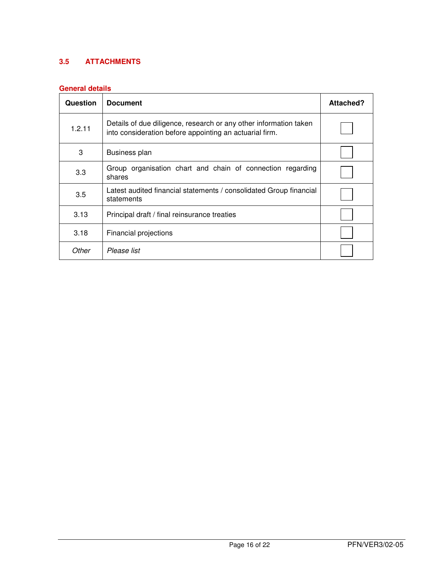# **3.5 ATTACHMENTS**

## **General details**

| Question | <b>Document</b>                                                                                                              | Attached? |
|----------|------------------------------------------------------------------------------------------------------------------------------|-----------|
| 1.2.11   | Details of due diligence, research or any other information taken<br>into consideration before appointing an actuarial firm. |           |
| 3        | Business plan                                                                                                                |           |
| 3.3      | Group organisation chart and chain of connection regarding<br>shares                                                         |           |
| 3.5      | Latest audited financial statements / consolidated Group financial<br>statements                                             |           |
| 3.13     | Principal draft / final reinsurance treaties                                                                                 |           |
| 3.18     | Financial projections                                                                                                        |           |
| Other    | Please list                                                                                                                  |           |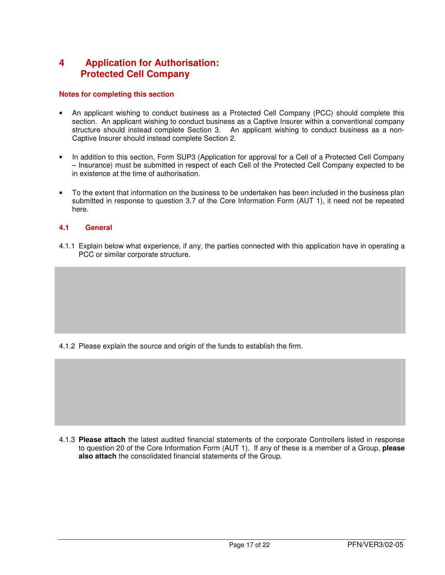# **4 Application for Authorisation: Protected Cell Company**

#### **Notes for completing this section**

- An applicant wishing to conduct business as a Protected Cell Company (PCC) should complete this section. An applicant wishing to conduct business as a Captive Insurer within a conventional company structure should instead complete Section 3. An applicant wishing to conduct business as a non-Captive Insurer should instead complete Section 2.
- In addition to this section, Form SUP3 (Application for approval for a Cell of a Protected Cell Company – Insurance) must be submitted in respect of each Cell of the Protected Cell Company expected to be in existence at the time of authorisation.
- To the extent that information on the business to be undertaken has been included in the business plan submitted in response to question 3.7 of the Core Information Form (AUT 1), it need not be repeated here.

## **4.1 General**

4.1.1 Explain below what experience, if any, the parties connected with this application have in operating a PCC or similar corporate structure.

4.1.2 Please explain the source and origin of the funds to establish the firm.

4.1.3 **Please attach** the latest audited financial statements of the corporate Controllers listed in response to question 20 of the Core Information Form (AUT 1). If any of these is a member of a Group, **please also attach** the consolidated financial statements of the Group.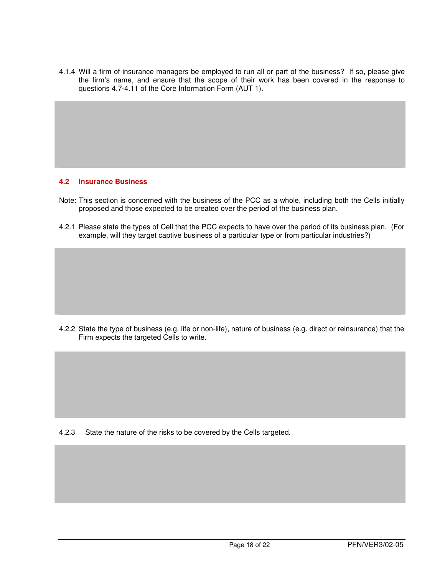4.1.4 Will a firm of insurance managers be employed to run all or part of the business? If so, please give the firm's name, and ensure that the scope of their work has been covered in the response to questions 4.7-4.11 of the Core Information Form (AUT 1).

#### **4.2 Insurance Business**

- Note: This section is concerned with the business of the PCC as a whole, including both the Cells initially proposed and those expected to be created over the period of the business plan.
- 4.2.1 Please state the types of Cell that the PCC expects to have over the period of its business plan. (For example, will they target captive business of a particular type or from particular industries?)

4.2.2 State the type of business (e.g. life or non-life), nature of business (e.g. direct or reinsurance) that the Firm expects the targeted Cells to write.

4.2.3 State the nature of the risks to be covered by the Cells targeted.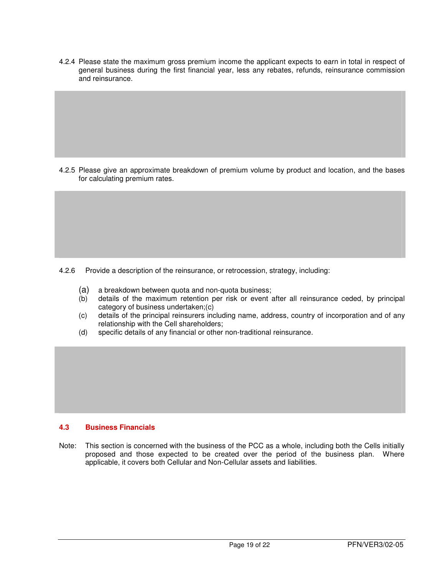4.2.4 Please state the maximum gross premium income the applicant expects to earn in total in respect of general business during the first financial year, less any rebates, refunds, reinsurance commission and reinsurance.

4.2.5 Please give an approximate breakdown of premium volume by product and location, and the bases for calculating premium rates.

4.2.6 Provide a description of the reinsurance, or retrocession, strategy, including:

- (a) a breakdown between quota and non-quota business;
- (b) details of the maximum retention per risk or event after all reinsurance ceded, by principal category of business undertaken;(c)
- (c) details of the principal reinsurers including name, address, country of incorporation and of any relationship with the Cell shareholders;
- (d) specific details of any financial or other non-traditional reinsurance.

#### **4.3 Business Financials**

Note: This section is concerned with the business of the PCC as a whole, including both the Cells initially proposed and those expected to be created over the period of the business plan. Where applicable, it covers both Cellular and Non-Cellular assets and liabilities.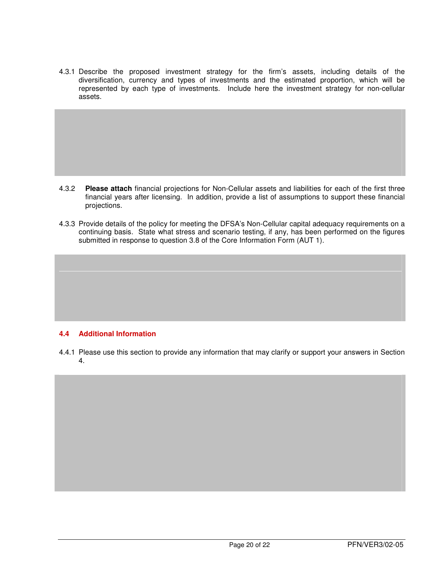4.3.1 Describe the proposed investment strategy for the firm's assets, including details of the diversification, currency and types of investments and the estimated proportion, which will be represented by each type of investments. Include here the investment strategy for non-cellular assets.

- 4.3.2 **Please attach** financial projections for Non-Cellular assets and liabilities for each of the first three financial years after licensing. In addition, provide a list of assumptions to support these financial projections.
- 4.3.3 Provide details of the policy for meeting the DFSA's Non-Cellular capital adequacy requirements on a continuing basis. State what stress and scenario testing, if any, has been performed on the figures submitted in response to question 3.8 of the Core Information Form (AUT 1).

#### **4.4 Additional Information**

4.4.1 Please use this section to provide any information that may clarify or support your answers in Section 4.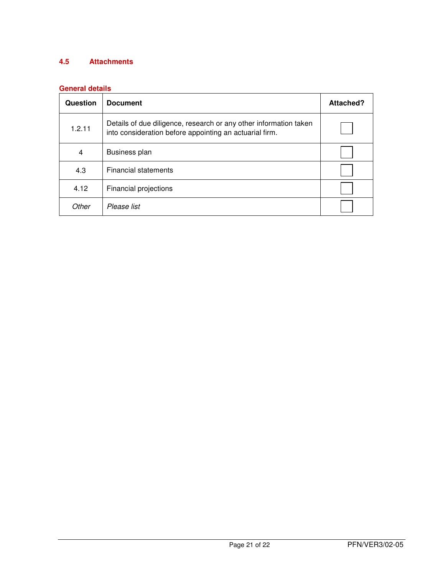## **4.5 Attachments**

## **General details**

| Question | <b>Document</b>                                                                                                              | Attached? |
|----------|------------------------------------------------------------------------------------------------------------------------------|-----------|
| 1.2.11   | Details of due diligence, research or any other information taken<br>into consideration before appointing an actuarial firm. |           |
| 4        | Business plan                                                                                                                |           |
| 4.3      | <b>Financial statements</b>                                                                                                  |           |
| 4.12     | Financial projections                                                                                                        |           |
| Other    | Please list                                                                                                                  |           |